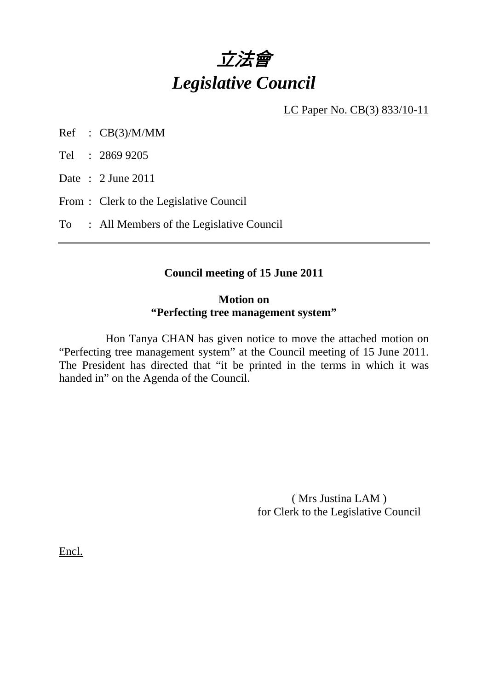

LC Paper No. CB(3) 833/10-11

- Ref : CB(3)/M/MM
- Tel : 2869 9205

Date : 2 June 2011

- From : Clerk to the Legislative Council
- To : All Members of the Legislative Council

### **Council meeting of 15 June 2011**

#### **Motion on "Perfecting tree management system"**

 Hon Tanya CHAN has given notice to move the attached motion on "Perfecting tree management system" at the Council meeting of 15 June 2011. The President has directed that "it be printed in the terms in which it was handed in" on the Agenda of the Council.

> ( Mrs Justina LAM ) for Clerk to the Legislative Council

Encl.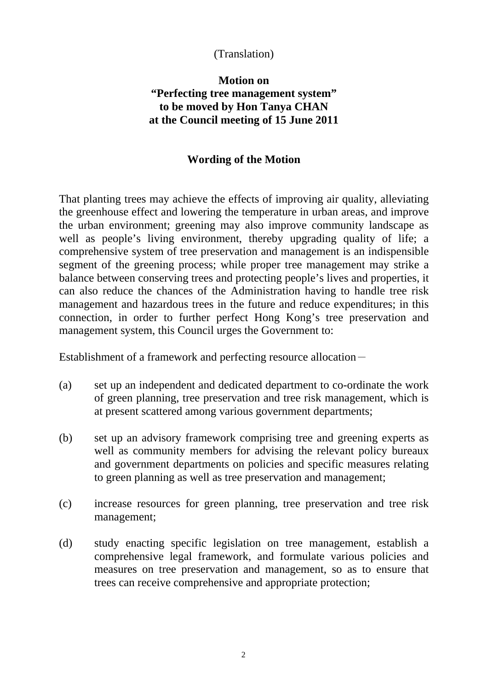# (Translation)

# **Motion on "Perfecting tree management system" to be moved by Hon Tanya CHAN at the Council meeting of 15 June 2011**

### **Wording of the Motion**

That planting trees may achieve the effects of improving air quality, alleviating the greenhouse effect and lowering the temperature in urban areas, and improve the urban environment; greening may also improve community landscape as well as people's living environment, thereby upgrading quality of life; a comprehensive system of tree preservation and management is an indispensible segment of the greening process; while proper tree management may strike a balance between conserving trees and protecting people's lives and properties, it can also reduce the chances of the Administration having to handle tree risk management and hazardous trees in the future and reduce expenditures; in this connection, in order to further perfect Hong Kong's tree preservation and management system, this Council urges the Government to:

Establishment of a framework and perfecting resource allocation-

- (a) set up an independent and dedicated department to co-ordinate the work of green planning, tree preservation and tree risk management, which is at present scattered among various government departments;
- (b) set up an advisory framework comprising tree and greening experts as well as community members for advising the relevant policy bureaux and government departments on policies and specific measures relating to green planning as well as tree preservation and management;
- (c) increase resources for green planning, tree preservation and tree risk management;
- (d) study enacting specific legislation on tree management, establish a comprehensive legal framework, and formulate various policies and measures on tree preservation and management, so as to ensure that trees can receive comprehensive and appropriate protection;